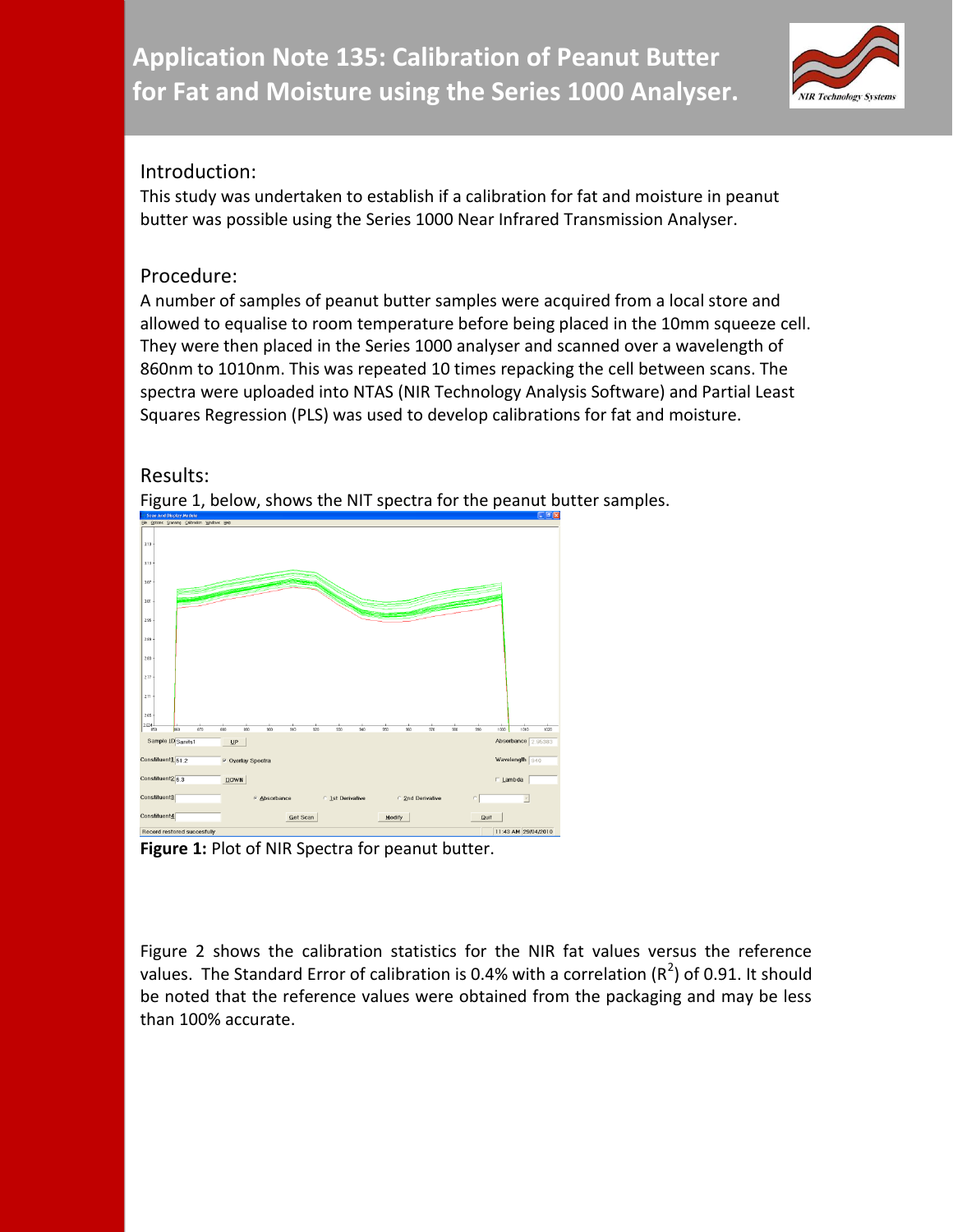

## Introduction:

This study was undertaken to establish if a calibration for fat and moisture in peanut butter was possible using the Series 1000 Near Infrared Transmission Analyser.

## Procedure:

A number of samples of peanut butter samples were acquired from a local store and allowed to equalise to room temperature before being placed in the 10mm squeeze cell. They were then placed in the Series 1000 analyser and scanned over a wavelength of 860nm to 1010nm. This was repeated 10 times repacking the cell between scans. The spectra were uploaded into NTAS (NIR Technology Analysis Software) and Partial Least Squares Regression (PLS) was used to develop calibrations for fat and moisture.

## Results:



Figure 1, below, shows the NIT spectra for the peanut butter samples.

**Figure 1:** Plot of NIR Spectra for peanut butter.

Figure 2 shows the calibration statistics for the NIR fat values versus the reference values. The Standard Error of calibration is 0.4% with a correlation ( $R^2$ ) of 0.91. It should be noted that the reference values were obtained from the packaging and may be less than 100% accurate.